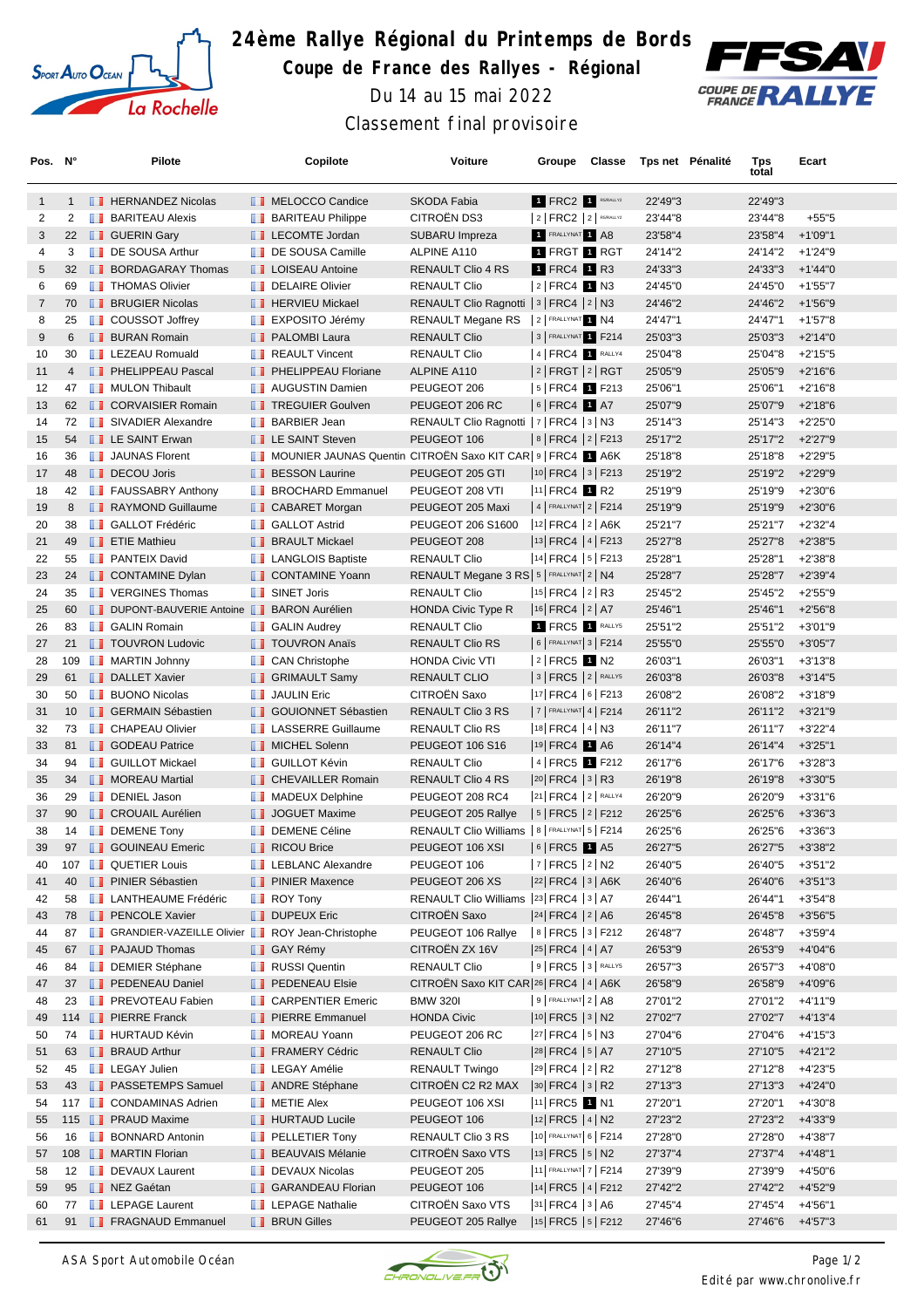

## **24ème Rallye Régional du Printemps de Bords Coupe de France des Rallyes - Régional** Du 14 au 15 mai 2022 Classement final provisoire



| Pos. N°           |                | <b>Pilote</b>                                        |               | Copilote                                                   | Voiture                                        | Groupe                                     | Classe | Tps net Pénalité | Tps<br>total | Ecart      |
|-------------------|----------------|------------------------------------------------------|---------------|------------------------------------------------------------|------------------------------------------------|--------------------------------------------|--------|------------------|--------------|------------|
| $\mathbf{1}$      | $\mathbf{1}$   | <b>FERNANDEZ Nicolas</b>                             |               | <b>NELOCCO Candice</b>                                     | <b>SKODA Fabia</b>                             | 1 FRC2 1 RS/RALLY2                         |        | 22'49"3          | 22'49"3      |            |
| 2                 | 2              | <b>BARITEAU Alexis</b>                               |               | <b>BARITEAU Philippe</b>                                   | CITROËN DS3                                    | $ 2 $ FRC2 $ 2 $ RS/RALLY2                 |        | 23'44"8          | 23'44"8      | $+55"5$    |
| 3                 | 22             | <b>B</b> GUERIN Gary                                 |               | LECOMTE Jordan                                             | SUBARU Impreza                                 | <b>FRALLYNAT 1 A8</b>                      |        | 23'58"4          | 23'58"4      | $+1'09"1$  |
| 4                 | 3              | DE SOUSA Arthur                                      |               | DE SOUSA Camille                                           | ALPINE A110                                    | 1 FRGT 1 RGT                               |        | 24'14"2          | 24'14"2      | $+1'24''9$ |
| 5                 | 32             | <b>BORDAGARAY Thomas</b>                             |               | <b>LA</b> LOISEAU Antoine                                  | RENAULT Clio 4 RS                              | 1 FRC4 1 R3                                |        | 24'33"3          | 24'33"3      | $+1'44"0$  |
| 6                 | 69             | <b>THOMAS Olivier</b>                                |               | DELAIRE Olivier                                            | <b>RENAULT Clio</b>                            | $2$ FRC4 1 N3                              |        | 24'45"0          | 24'45"0      | $+1'55''7$ |
| $\overline{7}$    | 70             | <b>BRUGIER Nicolas</b>                               |               | <b>FERVIEU Mickael</b>                                     | RENAULT Clio Ragnotti   3   FRC4   2   N3      |                                            |        | 24'46"2          | 24'46"2      | +1'56"9    |
| 8                 | 25             | <b>D</b> COUSSOT Joffrey                             | ш             | EXPOSITO Jérémy                                            | RENAULT Megane RS                              | 2 FRALLYNAT 1 N4                           |        | 24'47"1          | 24'47"1      | $+1'57"8$  |
| 9                 | 6              | <b>BURAN Romain</b>                                  |               | <b>PALOMBI Laura</b>                                       | <b>RENAULT Clio</b>                            | 3 FRALLYNAT 1 F214                         |        | 25'03"3          | 25'03"3      | $+2'14"0$  |
| 10                | 30             | <b>EXECUED</b> LEZEAU Romuald                        |               | <b>REAULT Vincent</b>                                      | <b>RENAULT Clio</b>                            | $ 4 $ FRC4 $ 1 $ RALLY4                    |        | 25'04"8          | 25'04"8      | $+2'15"5$  |
| 11                | $\overline{4}$ | <b>FELIPPEAU Pascal</b>                              |               | <b>F</b> PHELIPPEAU Floriane                               | ALPINE A110                                    | $ 2 $ FRGT $ 2 $ RGT                       |        | 25'05"9          | 25'05"9      | $+2'16''6$ |
| $12 \overline{ }$ | 47             | <b>NULON Thibault</b>                                |               | <b>NET</b> AUGUSTIN Damien                                 | PEUGEOT 206                                    | $ 5 $ FRC4 1 F213                          |        | 25'06"1          | 25'06"1      | $+2'16''8$ |
| 13                | 62             | <b>CORVAISIER Romain</b>                             |               | <b>TREGUIER Goulven</b>                                    | PEUGEOT 206 RC                                 | $6$ FRC4 1 A7                              |        | 25'07"9          | 25'07"9      | $+2'18"6$  |
| 14                | 72             | <b>SIVADIER Alexandre</b>                            | <b>The Co</b> | <b>BARBIER Jean</b>                                        | RENAULT Clio Ragnotti   7   FRC4   3   N3      |                                            |        | 25'14"3          | 25'14"3      | +2'25"0    |
| 15                | 54             | <b>LE SAINT Erwan</b>                                |               | <b>EXAINT Steven</b>                                       | PEUGEOT 106                                    | 8   FRC4   2   F213                        |        | 25'17"2          | 25'17"2      | $+2'27''9$ |
| 16                | 36             | <b>JAUNAS Florent</b>                                |               | MOUNIER JAUNAS Quentin CITROËN Saxo KIT CAR 9   FRC4 1 A6K |                                                |                                            |        | 25'18"8          | 25'18"8      | $+2'29"5$  |
| 17                | 48             | DECOU Joris                                          |               | <b>BESSON Laurine</b>                                      | PEUGEOT 205 GTI                                | $ 10 $ FRC4 $ 3 $ F213                     |        | 25'19"2          | 25'19"2      | +2'29"9    |
| 18                | 42             | <b>FAUSSABRY Anthony</b>                             |               | <b>BROCHARD Emmanuel</b>                                   | PEUGEOT 208 VTI                                | $ 11 $ FRC4 1 R2                           |        | 25'19"9          | 25'19"9      | $+2'30''6$ |
| 19                | 8              | RAYMOND Guillaume                                    |               | <b>CABARET Morgan</b>                                      | PEUGEOT 205 Maxi                               | $ 4 $ FRALLYNAT $ 2 $ F214                 |        | 25'19"9          | 25'19"9      | $+2'30''6$ |
| 20                | 38             | <b>B</b> GALLOT Frédéric                             |               | <b>B</b> GALLOT Astrid                                     | PEUGEOT 206 S1600                              | $ 12 $ FRC4 $ 2 $ A6K                      |        | 25'21"7          | 25'21"7      | $+2'32''4$ |
| 21                | 49             | <b>EXAMPLE THE Mathieur</b>                          |               | <b>BRAULT Mickael</b>                                      | PEUGEOT 208                                    | $ 13 $ FRC4 $ 4 $ F213                     |        | 25'27"8          | 25'27"8      | $+2'38"5$  |
| 22                | 55             | <b>PANTEIX David</b>                                 |               | <b>LANGLOIS Baptiste</b>                                   | <b>RENAULT Clio</b>                            | $ 14 $ FRC4 $ 5 $ F213                     |        | 25'28"1          | 25'28"1      | $+2'38''8$ |
| 23                | 24             | CONTAMINE Dylan                                      |               | CONTAMINE Yoann                                            | RENAULT Megane 3 RS   5   FRALLYNAT   2   N4   |                                            |        | 25'28"7          | 25'28"7      | $+2'39''4$ |
| 24                | 35             | <b>THE VERGINES Thomas</b>                           |               | <b>B</b> SINET Joris                                       | <b>RENAULT Clio</b>                            | $ 15 $ FRC4 $ 2 $ R3                       |        | 25'45"2          | 25'45"2      | +2'55"9    |
| 25                | 60             | DUPONT-BAUVERIE Antoine BARON Aurélien               |               |                                                            | <b>HONDA Civic Type R</b>                      | $ 16 $ FRC4 $ 2 $ A7                       |        | 25'46"1          | 25'46"1      | $+2'56''8$ |
|                   | 83             | <b>B</b> GALIN Romain                                |               |                                                            | <b>RENAULT Clio</b>                            | 1 FRC5 1 RALLYS                            |        |                  |              |            |
| 26                |                |                                                      |               | <b>B</b> GALIN Audrey                                      |                                                | 6   FRALLYNAT 3   F214                     |        | 25'51"2          | 25'51"2      | $+3'01''9$ |
| 27                | 21             | <b>TOUVRON Ludovic</b>                               |               | <b>TOUVRON Anaïs</b>                                       | <b>RENAULT Clio RS</b>                         |                                            |        | 25'55"0          | 25'55"0      | $+3'05"7$  |
| 28                | 109            | <b>NARTIN Johnny</b>                                 |               | <b>CAN Christophe</b>                                      | <b>HONDA Civic VTI</b>                         | $2$ FRC5 1 N2                              |        | 26'03"1          | 26'03"1      | $+3'13''8$ |
| 29                | 61             | DALLET Xavier                                        |               | <b>B</b> GRIMAULT Samy                                     | RENAULT CLIO                                   | $ 3 $ FRC5 $ 2 $ RALLYS                    |        | 26'03"8          | 26'03"8      | $+3'14"5$  |
| 30                | 50             | <b>BUONO Nicolas</b>                                 |               | <b>JAULIN Eric</b>                                         | CITROËN Saxo                                   | $ 17 $ FRC4 $ 6 $ F213                     |        | 26'08"2          | 26'08"2      | $+3'18''9$ |
| 31                | 10             | <b>BERMAIN Sébastien</b>                             |               | <b>B</b> GOUIONNET Sébastien                               | RENAULT Clio 3 RS                              | $7$ FRALLYNAT 4   F214                     |        | 26'11"2          | 26'11"2      | $+3'21''9$ |
| 32                | 73             | <b>CHAPEAU Olivier</b>                               |               | LASSERRE Guillaume                                         | RENAULT Clio RS                                | $ 18 $ FRC4 $ 4 $ N3                       |        | 26'11"7          | 26'11"7      | $+3'22''4$ |
| 33                | 81             | <b>SODEAU Patrice</b>                                |               | MICHEL Solenn                                              | <b>PEUGEOT 106 S16</b>                         | 19 FRC4 1 A6                               |        | 26'14"4          | 26'14"4      | $+3'25"1$  |
| 34                | 94             | <b>B</b> GUILLOT Mickael                             |               | <b>B</b> GUILLOT Kévin                                     | RENAULT Clio                                   | 4 FRC5 1 F212                              |        | 26'17"6          | 26'17"6      | $+3'28"3$  |
| 35                | 34             | MOREAU Martial                                       |               | <b>CHEVAILLER Romain</b>                                   | RENAULT Clio 4 RS                              | $ 20 $ FRC4 $ 3 $ R3                       |        | 26'19"8          | 26'19"8      | $+3'30"5$  |
| 36                | 29             | <b>DENIEL Jason</b>                                  |               | <b>NADEUX Delphine</b>                                     | PEUGEOT 208 RC4                                | 21 FRC4 2 RALLY4                           |        | 26'20"9          | 26'20"9      | $+3'31''6$ |
| 37                | 90             | <b>CROUAIL Aurélien</b>                              |               | JOGUET Maxime                                              | PEUGEOT 205 Rallye                             | $ 5 $ FRC5 $ 2 $ F212                      |        | 26'25"6          | 26'25"6      | $+3'36''3$ |
| 38                | 14             | <b>DEMENE Tony</b>                                   |               | <b>DEMENE Céline</b>                                       | RENAULT Clio Williams   8   FRALLYNAT 5   F214 |                                            |        | 26'25"6          | 26'25"6      | $+3'36''3$ |
| 39                | 97             | <b>B</b> GOUINEAU Emeric                             | ш             | <b>RICOU Brice</b>                                         | PEUGEOT 106 XSI                                | $ 6 $ FRC5 $\blacksquare$ A5               |        | 26'27"5          | 26'27"5      | $+3'38"2$  |
| 40                |                | 107 <b>I</b> QUETIER Louis                           |               | <b>LEBLANC Alexandre</b>                                   | PEUGEOT 106                                    | $ 7 $ FRC5 $ 2 $ N2                        |        | 26'40"5          | 26'40"5      | $+3'51''2$ |
| 41                | 40             | <b>FINIER Sébastien</b>                              |               | <b>PINIER Maxence</b>                                      | PEUGEOT 206 XS                                 | 22 FRC4 3 A6K                              |        | 26'40"6          | 26'40"6      | $+3'51''3$ |
| 42                | 58             | <b>LANTHEAUME Frédéric</b>                           |               | $\blacksquare$ ROY Tony                                    | RENAULT Clio Williams  23   FRC4   3   A7      |                                            |        | 26'44"1          | 26'44"1      | $+3'54''8$ |
| 43                | 78             | <b>PENCOLE Xavier</b>                                |               | <b>DUPEUX Eric</b>                                         | CITROËN Saxo                                   | $ 24 $ FRC4 $ 2 $ A6                       |        | 26'45"8          | 26'45"8      | $+3'56''5$ |
| 44                | 87             | GRANDIER-VAZEILLE Olivier <b>ROY Jean-Christophe</b> |               |                                                            | PEUGEOT 106 Rallye                             | $ 8 $ FRC5 $ 3 $ F212                      |        | 26'48"7          | 26'48"7      | $+3'59''4$ |
| 45                | 67             | <b>PAJAUD Thomas</b>                                 |               | <b>B</b> GAY Rémy                                          | CITROËN ZX 16V                                 | $\left 25\right $ FRC4 $\left 4\right $ A7 |        | 26'53"9          | 26'53"9      | $+4'04''6$ |
| 46                | 84             | DEMIER Stéphane                                      |               | <b>RUSSI</b> Quentin                                       | <b>RENAULT Clio</b>                            | $ 9 $ FRC5 $ 3 $ RALLYS                    |        | 26'57"3          | 26'57"3      | +4'08"0    |
| 47                | 37             | <b>PEDENEAU Daniel</b>                               |               | <b>PEDENEAU Elsie</b>                                      | CITROËN Saxo KIT CAR 26 FRC4   4   A6K         |                                            |        | 26'58"9          | 26'58"9      | +4'09"6    |
| 48                | 23             | <b>FREVOTEAU Fabien</b>                              |               | <b>CARPENTIER Emeric</b>                                   | <b>BMW 320I</b>                                | $9$ FRALLYNAT $2$ A8                       |        | 27'01"2          | 27'01"2      | +4'11"9    |
| 49                | 114            | <b>PIERRE Franck</b>                                 |               | <b>PIERRE Emmanuel</b>                                     | <b>HONDA Civic</b>                             | 10  FRC5   3   N2                          |        | 27'02"7          | 27'02"7      | $+4'13''4$ |
| 50                | 74             | <b>HURTAUD Kévin</b>                                 |               | <b>NOREAU Yoann</b>                                        | PEUGEOT 206 RC                                 | 27 FRC4   5   N3                           |        | 27'04"6          | 27'04"6      | $+4'15''3$ |
| 51                | 63             | <b>BRAUD Arthur</b>                                  |               | FRAMERY Cédric                                             | <b>RENAULT Clio</b>                            | $ 28 $ FRC4 $ 5 $ A7                       |        | 27'10"5          | 27'10"5      | +4'21"2    |
| 52                | 45             | <b>LEGAY Julien</b>                                  |               | <b>LEGAY Amélie</b>                                        | RENAULT Twingo                                 | $ 29 $ FRC4 $ 2 $ R2                       |        | 27'12"8          | 27'12"8      | $+4'23"5$  |
| 53                | 43             | <b>FI PASSETEMPS Samuel</b>                          |               | ANDRE Stéphane                                             | CITROËN C2 R2 MAX                              | $ 30 $ FRC4 $ 3 $ R2                       |        | 27'13"3          | 27'13"3      | $+4'24"0$  |
| 54                | 117            | <b>CONDAMINAS Adrien</b>                             | ш             | <b>METIE Alex</b>                                          | PEUGEOT 106 XSI                                | $ 11 $ FRC5 1 N1                           |        | 27'20"1          | 27'20"1      | +4'30"8    |
| 55                |                | 115 <b>PRAUD Maxime</b>                              |               | <b>HURTAUD Lucile</b>                                      | PEUGEOT 106                                    | $ 12 $ FRC5 $ 4 $ N2                       |        | 27'23"2          | 27'23"2      | +4'33"9    |
| 56                | 16             | <b>BONNARD Antonin</b>                               |               | $\blacksquare$ PELLETIER Tony                              | RENAULT Clio 3 RS                              | 10 FRALLYNAT 6   F214                      |        | 27'28"0          | 27'28"0      | +4'38"7    |
| 57                |                | 108 <b>B</b> MARTIN Florian                          |               | <b>BEAUVAIS Mélanie</b>                                    | <b>CITROEN Saxo VTS</b>                        | $ 13 $ FRC5 $ 5 $ N2                       |        | 27'37"4          | 27'37"4      | $+4'48''1$ |
| 58                | 12             | DEVAUX Laurent                                       |               | DEVAUX Nicolas                                             | PEUGEOT 205                                    | 11 FRALLYNAT 7   F214                      |        | 27'39"9          | 27'39"9      | +4'50"6    |
| 59                | 95             | NEZ Gaétan                                           |               | <b>GARANDEAU Florian</b>                                   | PEUGEOT 106                                    | 14 FRC5 4 F212                             |        | 27'42"2          | 27'42"2      | +4'52"9    |
| 60                | 77             | <b>EXECUTE:</b> LEPAGE Laurent                       |               | <b>LEPAGE Nathalie</b>                                     | CITROEN Saxo VTS                               | $ 31 $ FRC4 $ 3 $ A6                       |        | 27'45"4          | 27'45"4      | +4'56"1    |
| 61                | 91             | FRAGNAUD Emmanuel                                    |               | <b>BRUN Gilles</b>                                         | PEUGEOT 205 Rallye                             | 15   FRC5   5   F212                       |        | 27'46"6          | 27'46"6      | $+4'57''3$ |